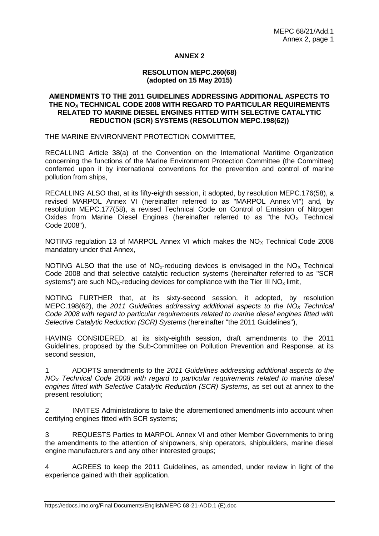# **ANNEX 2**

### **RESOLUTION MEPC.260(68) (adopted on 15 May 2015)**

## **AMENDMENTS TO THE 2011 GUIDELINES ADDRESSING ADDITIONAL ASPECTS TO THE NO<sup>X</sup> TECHNICAL CODE 2008 WITH REGARD TO PARTICULAR REQUIREMENTS RELATED TO MARINE DIESEL ENGINES FITTED WITH SELECTIVE CATALYTIC REDUCTION (SCR) SYSTEMS (RESOLUTION MEPC.198(62))**

THE MARINE ENVIRONMENT PROTECTION COMMITTEE,

RECALLING Article 38(a) of the Convention on the International Maritime Organization concerning the functions of the Marine Environment Protection Committee (the Committee) conferred upon it by international conventions for the prevention and control of marine pollution from ships,

RECALLING ALSO that, at its fifty-eighth session, it adopted, by resolution MEPC.176(58), a revised MARPOL Annex VI (hereinafter referred to as "MARPOL Annex VI") and, by resolution MEPC.177(58), a revised Technical Code on Control of Emission of Nitrogen Oxides from Marine Diesel Engines (hereinafter referred to as "the  $NO<sub>x</sub>$  Technical Code 2008"),

NOTING regulation 13 of MARPOL Annex VI which makes the  $NO<sub>x</sub>$  Technical Code 2008 mandatory under that Annex,

NOTING ALSO that the use of  $NO<sub>x</sub>$ -reducing devices is envisaged in the  $NO<sub>x</sub>$  Technical Code 2008 and that selective catalytic reduction systems (hereinafter referred to as "SCR systems") are such  $NO<sub>X</sub>$ -reducing devices for compliance with the Tier III  $NO<sub>x</sub>$  limit,

NOTING FURTHER that, at its sixty-second session, it adopted, by resolution MEPC.198(62), the *2011 Guidelines addressing additional aspects to the NO<sup>X</sup> Technical Code 2008 with regard to particular requirements related to marine diesel engines fitted with Selective Catalytic Reduction (SCR) Systems* (hereinafter "the 2011 Guidelines"),

HAVING CONSIDERED, at its sixty-eighth session, draft amendments to the 2011 Guidelines, proposed by the Sub-Committee on Pollution Prevention and Response, at its second session,

1 ADOPTS amendments to the *2011 Guidelines addressing additional aspects to the NO<sup>X</sup> Technical Code 2008 with regard to particular requirements related to marine diesel engines fitted with Selective Catalytic Reduction (SCR) Systems*, as set out at annex to the present resolution;

2 INVITES Administrations to take the aforementioned amendments into account when certifying engines fitted with SCR systems;

3 REQUESTS Parties to MARPOL Annex VI and other Member Governments to bring the amendments to the attention of shipowners, ship operators, shipbuilders, marine diesel engine manufacturers and any other interested groups;

4 AGREES to keep the 2011 Guidelines, as amended, under review in light of the experience gained with their application.